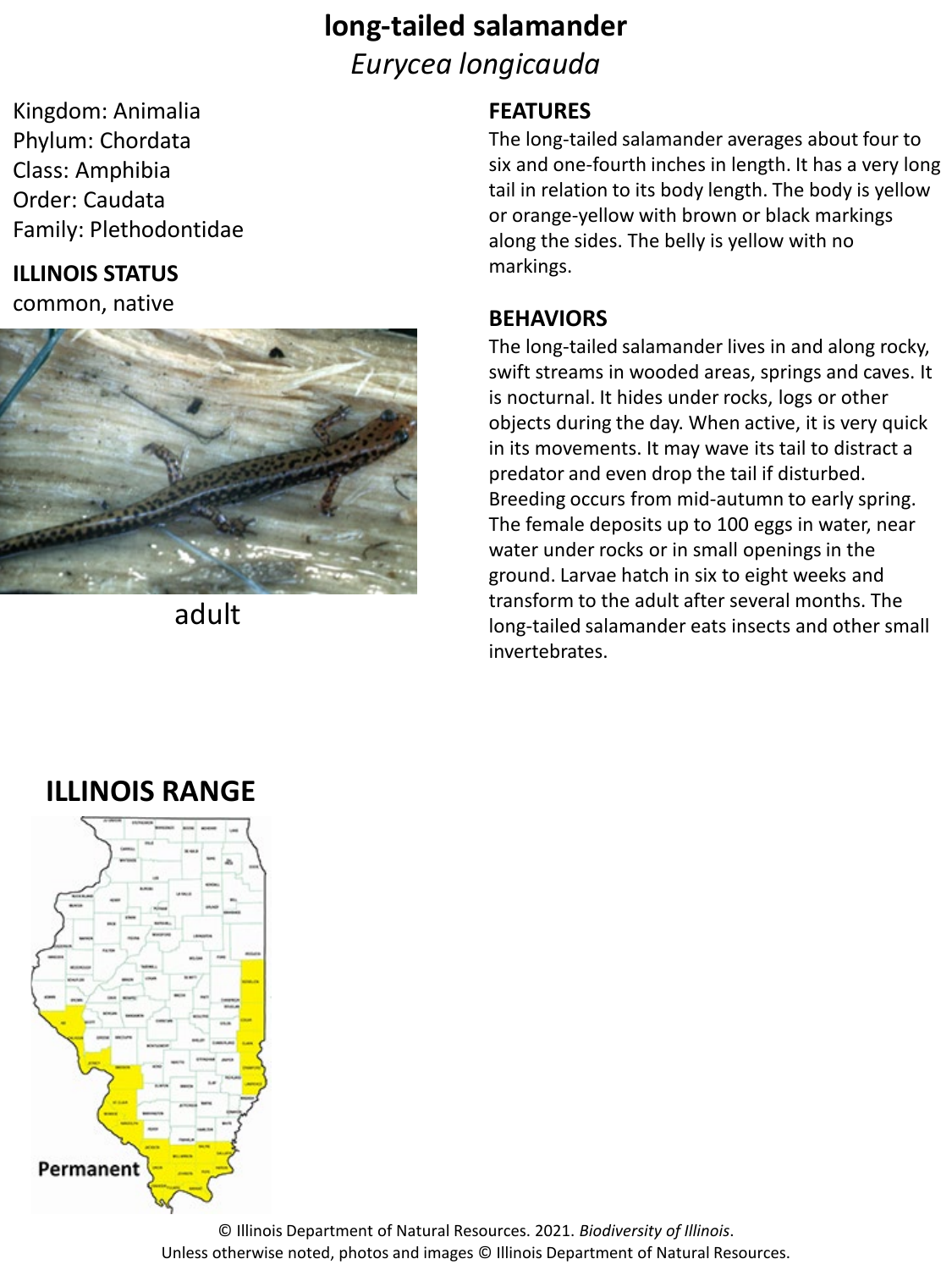# **long-tailed salamander** *Eurycea longicauda*

Kingdom: Animalia Phylum: Chordata Class: Amphibia Order: Caudata Family: Plethodontidae

### **ILLINOIS STATUS**

common, native



adult

#### **FEATURES**

The long-tailed salamander averages about four to six and one-fourth inches in length. It has a very long tail in relation to its body length. The body is yellow or orange-yellow with brown or black markings along the sides. The belly is yellow with no markings.

#### **BEHAVIORS**

The long-tailed salamander lives in and along rocky, swift streams in wooded areas, springs and caves. It is nocturnal. It hides under rocks, logs or other objects during the day. When active, it is very quick in its movements. It may wave its tail to distract a predator and even drop the tail if disturbed. Breeding occurs from mid-autumn to early spring. The female deposits up to 100 eggs in water, near water under rocks or in small openings in the ground. Larvae hatch in six to eight weeks and transform to the adult after several months. The long-tailed salamander eats insects and other small invertebrates.

## **ILLINOIS RANGE**



© Illinois Department of Natural Resources. 2021. *Biodiversity of Illinois*. Unless otherwise noted, photos and images © Illinois Department of Natural Resources.